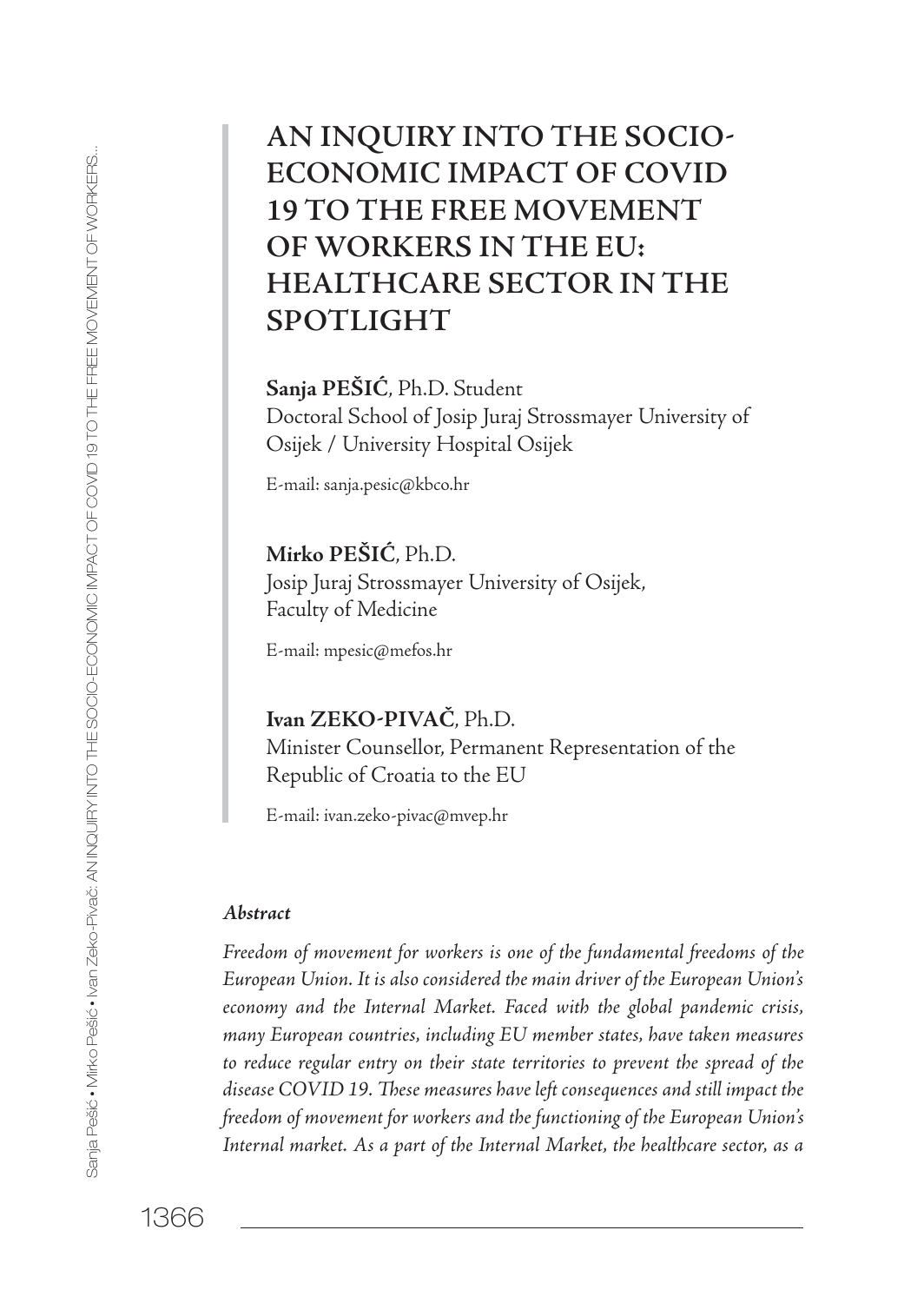# **AN INQUIRY INTO THE SOCIO ECONOMIC IMPACT OF COVID 19 TO THE FREE MOVEMENT OF WORKERS IN THE EU: HEALTHCARE SECTOR IN THE SPOTLIGHT**

**Sanja PEŠIĆ**, Ph.D. Student Doctoral School of Josip Juraj Strossmayer University of Osijek / University Hospital Osijek

E-mail: sanja.pesic@kbco.hr

**Mirko PEŠIĆ**, Ph.D. Josip Juraj Strossmayer University of Osijek, Faculty of Medicine

E-mail: mpesic@mefos.hr

Ivan ZEKO-PIVAČ, Ph.D. Minister Counsellor, Permanent Representation of the Republic of Croatia to the EU

E-mail: ivan.zeko-pivac@mvep.hr

#### *Abstract*

*Freedom of movement for workers is one of the fundamental freedoms of the European Union. It is also considered the main driver of the European Union's economy and the Internal Market. Faced with the global pandemic crisis, many European countries, including EU member states, have taken measures*  to reduce regular entry on their state territories to prevent the spread of the *disease COVID 19. These measures have left consequences and still impact the freedom of movement for workers and the functioning of the European Union's Internal market. As a part of the Internal Market, the healthcare sector, as a*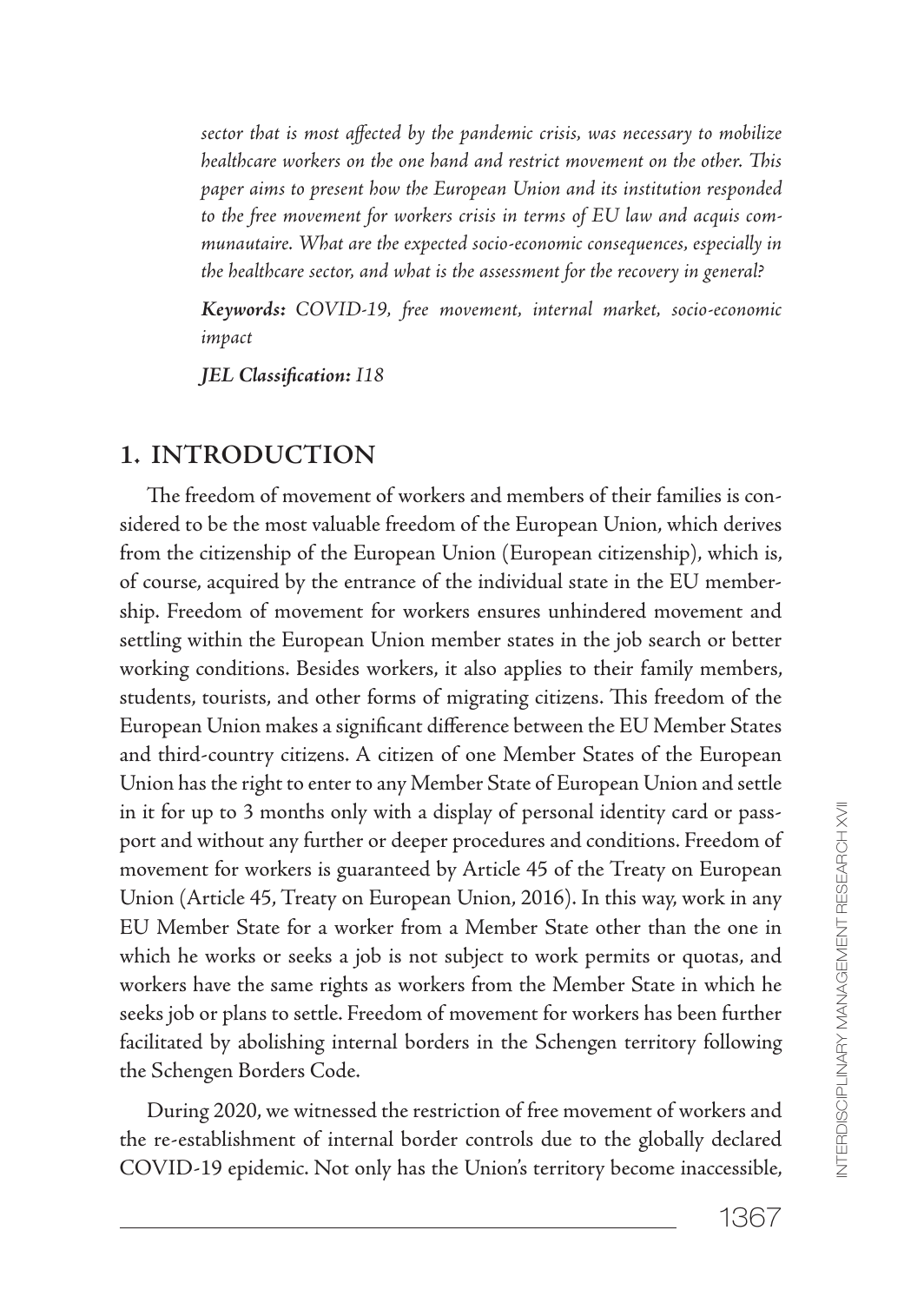*sector that is most affected by the pandemic crisis, was necessary to mobilize healthcare workers on the one hand and restrict movement on the other. This paper aims to present how the European Union and its institution responded to the free movement for workers crisis in terms of EU law and acquis communautaire. What are the expected socio-economic consequences, especially in the healthcare sector, and what is the assessment for the recovery in general?*

*Keywords: COVID-19, free movement, internal market, socio-economic impact*

*JEL Classification: I18*

#### **1. INTRODUCTION**

The freedom of movement of workers and members of their families is considered to be the most valuable freedom of the European Union, which derives from the citizenship of the European Union (European citizenship), which is, of course, acquired by the entrance of the individual state in the EU membership. Freedom of movement for workers ensures unhindered movement and settling within the European Union member states in the job search or better working conditions. Besides workers, it also applies to their family members, students, tourists, and other forms of migrating citizens. This freedom of the European Union makes a significant difference between the EU Member States and third-country citizens. A citizen of one Member States of the European Union has the right to enter to any Member State of European Union and settle in it for up to 3 months only with a display of personal identity card or passport and without any further or deeper procedures and conditions. Freedom of movement for workers is guaranteed by Article 45 of the Treaty on European Union (Article 45, Treaty on European Union, 2016). In this way, work in any EU Member State for a worker from a Member State other than the one in which he works or seeks a job is not subject to work permits or quotas, and workers have the same rights as workers from the Member State in which he seeks job or plans to settle. Freedom of movement for workers has been further facilitated by abolishing internal borders in the Schengen territory following the Schengen Borders Code.

During 2020, we witnessed the restriction of free movement of workers and the re-establishment of internal border controls due to the globally declared COVID-19 epidemic. Not only has the Union's territory become inaccessible,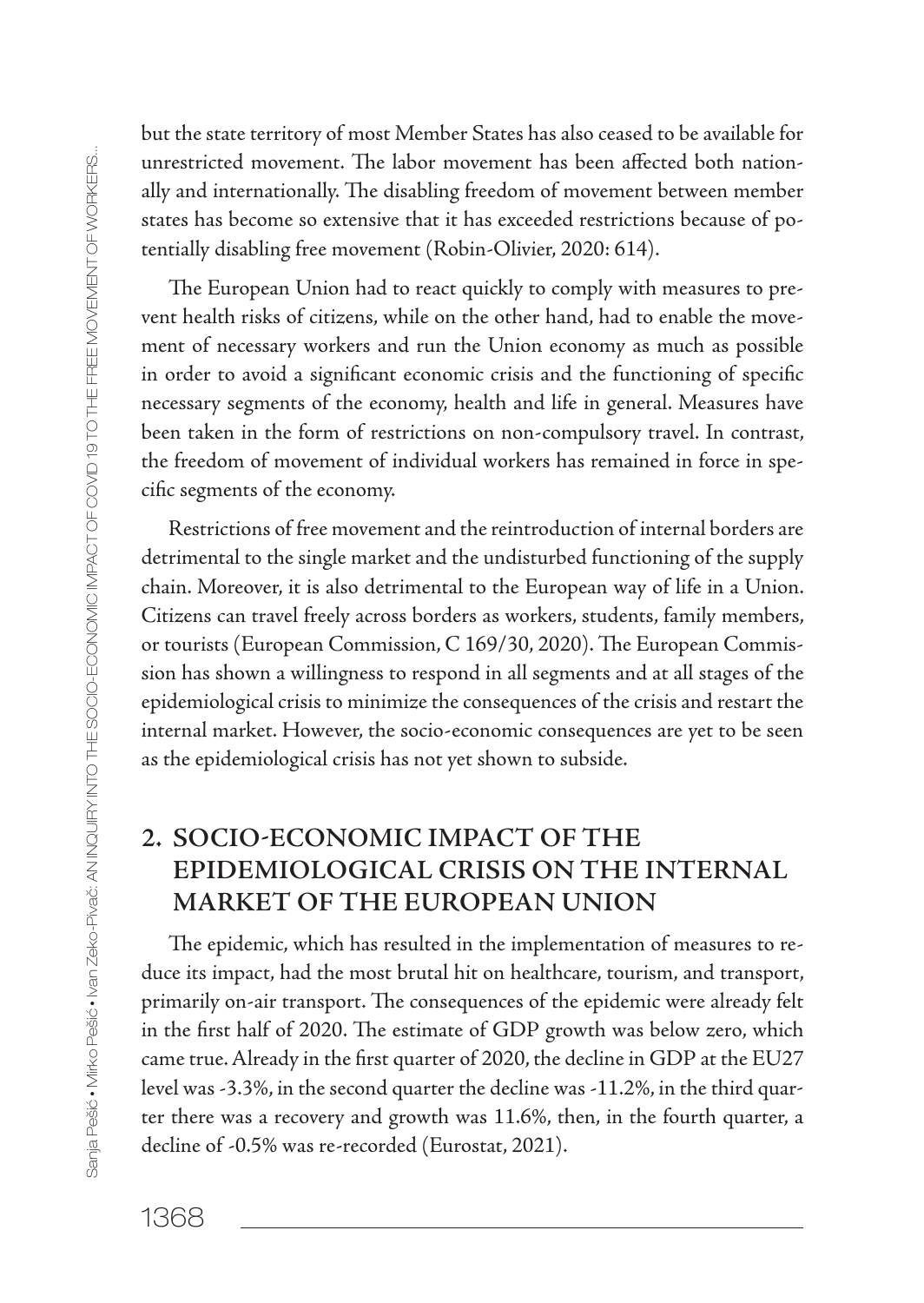Sanja Pešić Mirko Pešić Ivan Zeko-Pivač: AN INQUIRY INTO THE SOCIO-ECONOMIC IMPACT OF COVID 19 TO THE FREE MOVEMENT OF WORKERS... ania Pešić + Mirko Pešić + Man Zeko-Pivać: AN INQUIRY INTO THE SOOIO-ECONOMIC IMPACT OF COVID 19 TO THE FREE MOVEMENT OF WORKERS.

but the state territory of most Member States has also ceased to be available for unrestricted movement. The labor movement has been affected both nationally and internationally. The disabling freedom of movement between member states has become so extensive that it has exceeded restrictions because of potentially disabling free movement (Robin-Olivier, 2020: 614).

The European Union had to react quickly to comply with measures to prevent health risks of citizens, while on the other hand, had to enable the movement of necessary workers and run the Union economy as much as possible in order to avoid a significant economic crisis and the functioning of specific necessary segments of the economy, health and life in general. Measures have been taken in the form of restrictions on non-compulsory travel. In contrast, the freedom of movement of individual workers has remained in force in specific segments of the economy.

Restrictions of free movement and the reintroduction of internal borders are detrimental to the single market and the undisturbed functioning of the supply chain. Moreover, it is also detrimental to the European way of life in a Union. Citizens can travel freely across borders as workers, students, family members, or tourists (European Commission, C 169/30, 2020). The European Commission has shown a willingness to respond in all segments and at all stages of the epidemiological crisis to minimize the consequences of the crisis and restart the internal market. However, the socio-economic consequences are yet to be seen as the epidemiological crisis has not yet shown to subside.

# **2. SOCIO-ECONOMIC IMPACT OF THE EPIDEMIOLOGICAL CRISIS ON THE INTERNAL MARKET OF THE EUROPEAN UNION**

The epidemic, which has resulted in the implementation of measures to reduce its impact, had the most brutal hit on healthcare, tourism, and transport, primarily on-air transport. The consequences of the epidemic were already felt in the first half of 2020. The estimate of GDP growth was below zero, which came true. Already in the first quarter of 2020, the decline in GDP at the EU27 level was -3.3%, in the second quarter the decline was -11.2%, in the third quarter there was a recovery and growth was 11.6%, then, in the fourth quarter, a decline of -0.5% was re-recorded (Eurostat, 2021).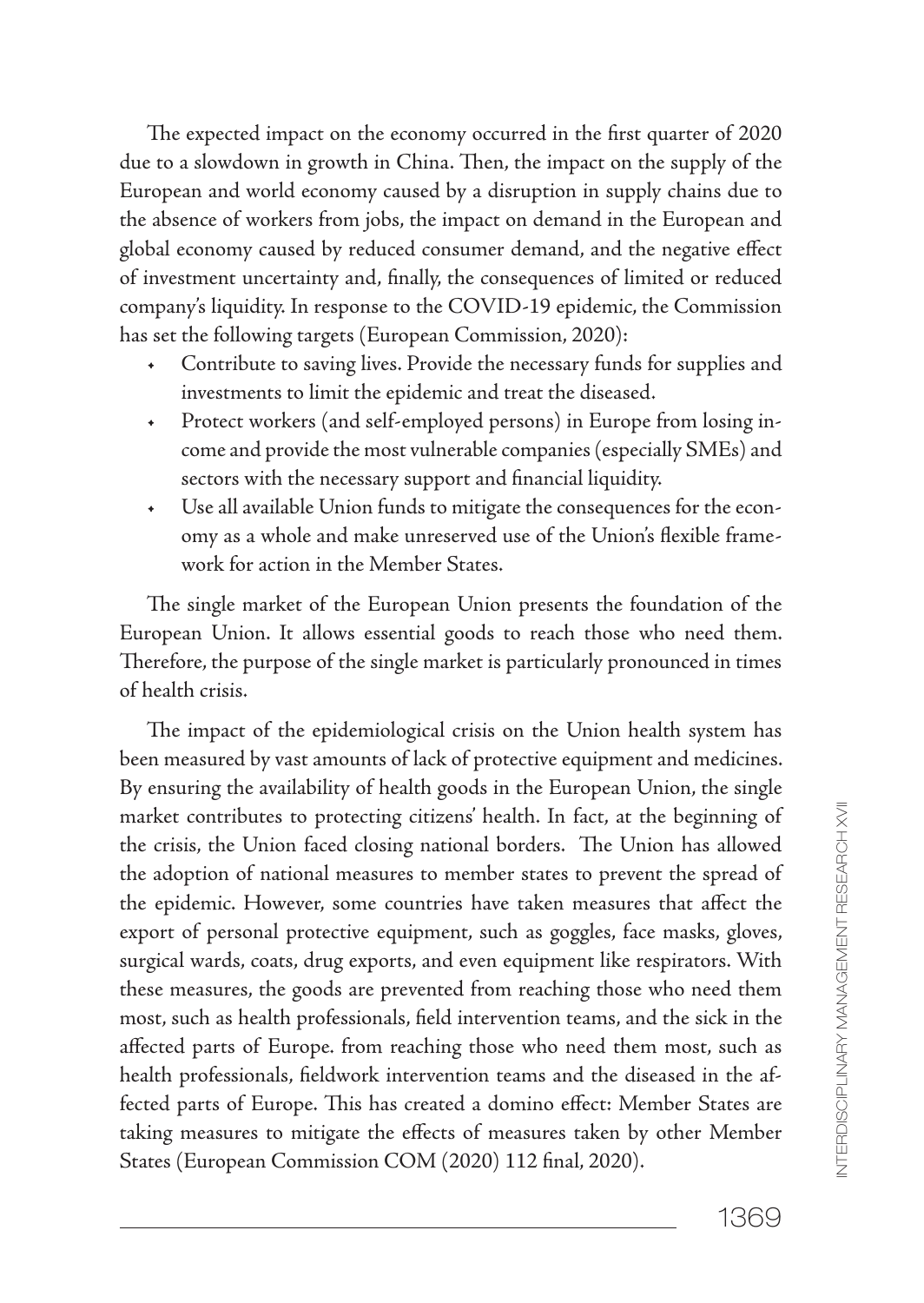The expected impact on the economy occurred in the first quarter of 2020 due to a slowdown in growth in China. Then, the impact on the supply of the European and world economy caused by a disruption in supply chains due to the absence of workers from jobs, the impact on demand in the European and global economy caused by reduced consumer demand, and the negative effect of investment uncertainty and, finally, the consequences of limited or reduced company's liquidity. In response to the COVID-19 epidemic, the Commission has set the following targets (European Commission, 2020):

- Contribute to saving lives. Provide the necessary funds for supplies and investments to limit the epidemic and treat the diseased.
- + Protect workers (and self-employed persons) in Europe from losing income and provide the most vulnerable companies (especially SMEs) and sectors with the necessary support and financial liquidity.
- Use all available Union funds to mitigate the consequences for the economy as a whole and make unreserved use of the Union's flexible framework for action in the Member States.

The single market of the European Union presents the foundation of the European Union. It allows essential goods to reach those who need them. Therefore, the purpose of the single market is particularly pronounced in times of health crisis.

The impact of the epidemiological crisis on the Union health system has been measured by vast amounts of lack of protective equipment and medicines. By ensuring the availability of health goods in the European Union, the single market contributes to protecting citizens' health. In fact, at the beginning of the crisis, the Union faced closing national borders. The Union has allowed the adoption of national measures to member states to prevent the spread of the epidemic. However, some countries have taken measures that affect the export of personal protective equipment, such as goggles, face masks, gloves, surgical wards, coats, drug exports, and even equipment like respirators. With these measures, the goods are prevented from reaching those who need them most, such as health professionals, field intervention teams, and the sick in the affected parts of Europe. from reaching those who need them most, such as health professionals, fieldwork intervention teams and the diseased in the affected parts of Europe. This has created a domino effect: Member States are taking measures to mitigate the effects of measures taken by other Member States (European Commission COM (2020) 112 final, 2020).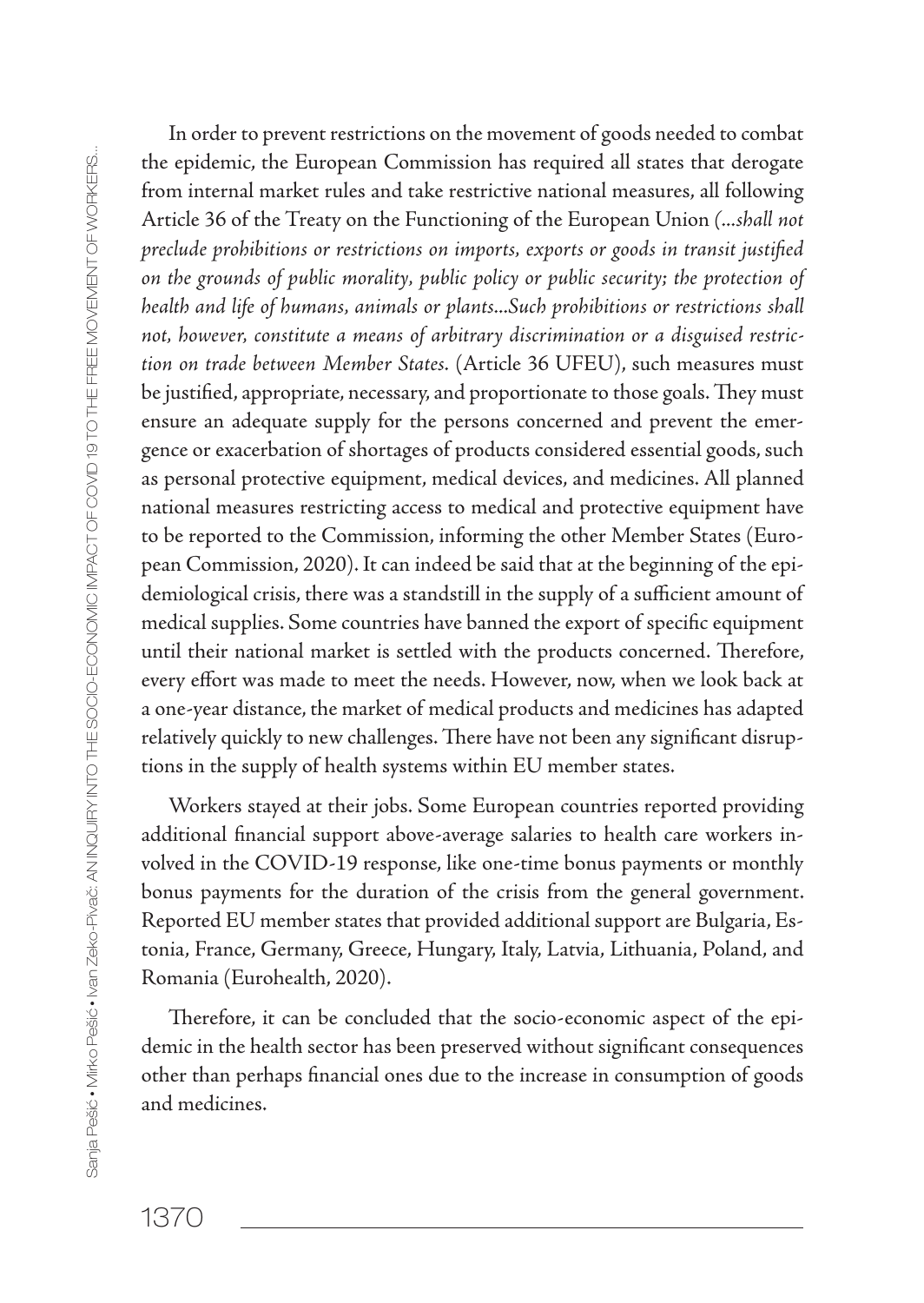In order to prevent restrictions on the movement of goods needed to combat the epidemic, the European Commission has required all states that derogate from internal market rules and take restrictive national measures, all following Article 36 of the Treaty on the Functioning of the European Union *(...shall not preclude prohibitions or restrictions on imports, exports or goods in transit justified on the grounds of public morality, public policy or public security; the protection of health and life of humans, animals or plants...Such prohibitions or restrictions shall not, however, constitute a means of arbitrary discrimination or a disguised restriction on trade between Member States.* (Article 36 UFEU), such measures must be justified, appropriate, necessary, and proportionate to those goals. They must ensure an adequate supply for the persons concerned and prevent the emergence or exacerbation of shortages of products considered essential goods, such as personal protective equipment, medical devices, and medicines. All planned national measures restricting access to medical and protective equipment have to be reported to the Commission, informing the other Member States (European Commission, 2020). It can indeed be said that at the beginning of the epidemiological crisis, there was a standstill in the supply of a sufficient amount of medical supplies. Some countries have banned the export of specific equipment until their national market is settled with the products concerned. Therefore, every effort was made to meet the needs. However, now, when we look back at a one-year distance, the market of medical products and medicines has adapted relatively quickly to new challenges. There have not been any significant disruptions in the supply of health systems within EU member states.

Workers stayed at their jobs. Some European countries reported providing additional financial support above-average salaries to health care workers involved in the COVID-19 response, like one-time bonus payments or monthly bonus payments for the duration of the crisis from the general government. Reported EU member states that provided additional support are Bulgaria, Estonia, France, Germany, Greece, Hungary, Italy, Latvia, Lithuania, Poland, and Romania (Eurohealth, 2020).

Therefore, it can be concluded that the socio-economic aspect of the epidemic in the health sector has been preserved without significant consequences other than perhaps financial ones due to the increase in consumption of goods and medicines.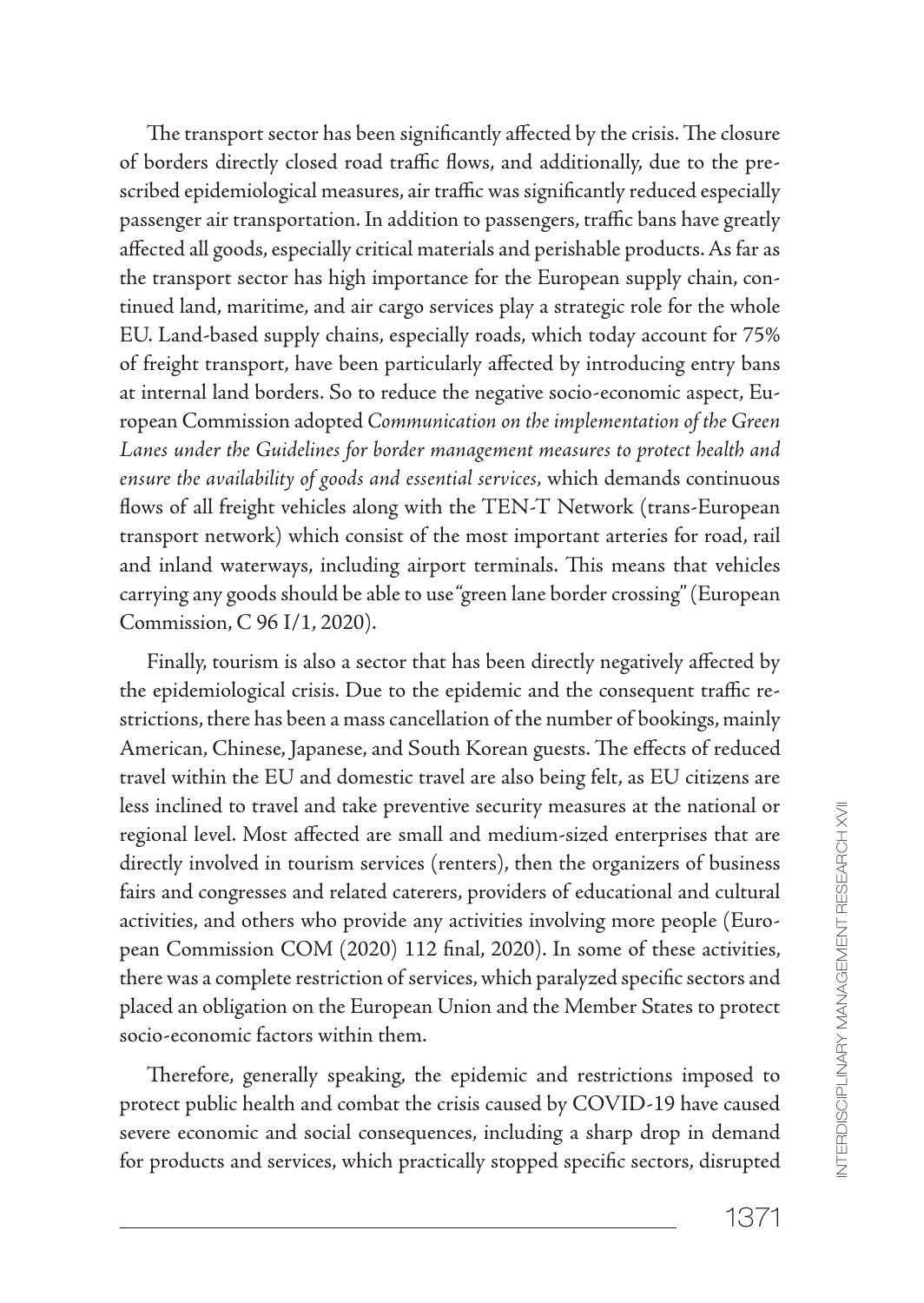The transport sector has been significantly affected by the crisis. The closure of borders directly closed road traffic flows, and additionally, due to the prescribed epidemiological measures, air traffic was significantly reduced especially passenger air transportation. In addition to passengers, traffic bans have greatly affected all goods, especially critical materials and perishable products. As far as the transport sector has high importance for the European supply chain, continued land, maritime, and air cargo services play a strategic role for the whole EU. Land-based supply chains, especially roads, which today account for 75% of freight transport, have been particularly affected by introducing entry bans at internal land borders. So to reduce the negative socio-economic aspect, European Commission adopted *Communication on the implementation of the Green Lanes under the Guidelines for border management measures to protect health and ensure the availability of goods and essential services,* which demands continuous flows of all freight vehicles along with the TEN-T Network (trans-European transport network) which consist of the most important arteries for road, rail and inland waterways, including airport terminals. This means that vehicles carrying any goods should be able to use "green lane border crossing" (European Commission, C 96 I/1, 2020).

Finally, tourism is also a sector that has been directly negatively affected by the epidemiological crisis. Due to the epidemic and the consequent traffic restrictions, there has been a mass cancellation of the number of bookings, mainly American, Chinese, Japanese, and South Korean guests. The effects of reduced travel within the EU and domestic travel are also being felt, as EU citizens are less inclined to travel and take preventive security measures at the national or regional level. Most affected are small and medium-sized enterprises that are directly involved in tourism services (renters), then the organizers of business fairs and congresses and related caterers, providers of educational and cultural activities, and others who provide any activities involving more people (European Commission COM (2020) 112 final, 2020). In some of these activities, there was a complete restriction of services, which paralyzed specific sectors and placed an obligation on the European Union and the Member States to protect socio-economic factors within them.

Therefore, generally speaking, the epidemic and restrictions imposed to protect public health and combat the crisis caused by COVID-19 have caused severe economic and social consequences, including a sharp drop in demand for products and services, which practically stopped specific sectors, disrupted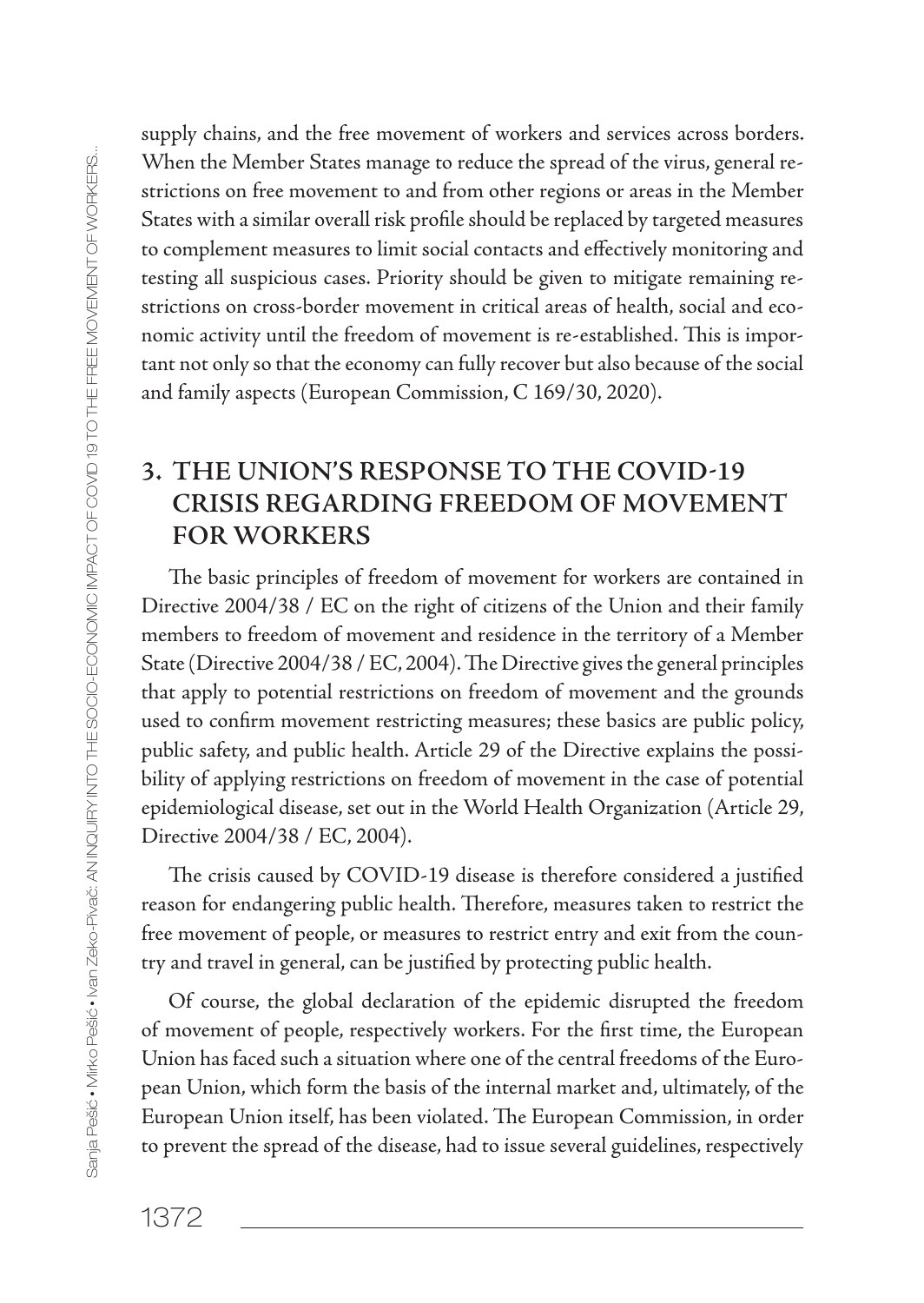Sanja Pešić Mirko Pešić Ivan Zeko-Pivač: AN INQUIRY INTO THE SOCIO-ECONOMIC IMPACT OF COVID 19 TO THE FREE MOVEMENT OF WORKERS... ania Pešić + Mirko Pešić + Man Zeko-Pivać: AN INQUIRY INTO THE SOOIO-ECONOMIC IMPACT OF COVID 19 TO THE FREE MOVEMENT OF WORKERS.

supply chains, and the free movement of workers and services across borders. When the Member States manage to reduce the spread of the virus, general restrictions on free movement to and from other regions or areas in the Member States with a similar overall risk profile should be replaced by targeted measures to complement measures to limit social contacts and effectively monitoring and testing all suspicious cases. Priority should be given to mitigate remaining restrictions on cross-border movement in critical areas of health, social and economic activity until the freedom of movement is re-established. This is important not only so that the economy can fully recover but also because of the social and family aspects (European Commission, C 169/30, 2020).

# **3. THE UNION'S RESPONSE TO THE COVID19 CRISIS REGARDING FREEDOM OF MOVEMENT FOR WORKERS**

The basic principles of freedom of movement for workers are contained in Directive 2004/38 / EC on the right of citizens of the Union and their family members to freedom of movement and residence in the territory of a Member State (Directive 2004/38 / EC, 2004). The Directive gives the general principles that apply to potential restrictions on freedom of movement and the grounds used to confirm movement restricting measures; these basics are public policy, public safety, and public health. Article 29 of the Directive explains the possibility of applying restrictions on freedom of movement in the case of potential epidemiological disease, set out in the World Health Organization (Article 29, Directive 2004/38 / EC, 2004).

The crisis caused by COVID-19 disease is therefore considered a justified reason for endangering public health. Therefore, measures taken to restrict the free movement of people, or measures to restrict entry and exit from the country and travel in general, can be justified by protecting public health.

Of course, the global declaration of the epidemic disrupted the freedom of movement of people, respectively workers. For the first time, the European Union has faced such a situation where one of the central freedoms of the European Union, which form the basis of the internal market and, ultimately, of the European Union itself, has been violated. The European Commission, in order to prevent the spread of the disease, had to issue several guidelines, respectively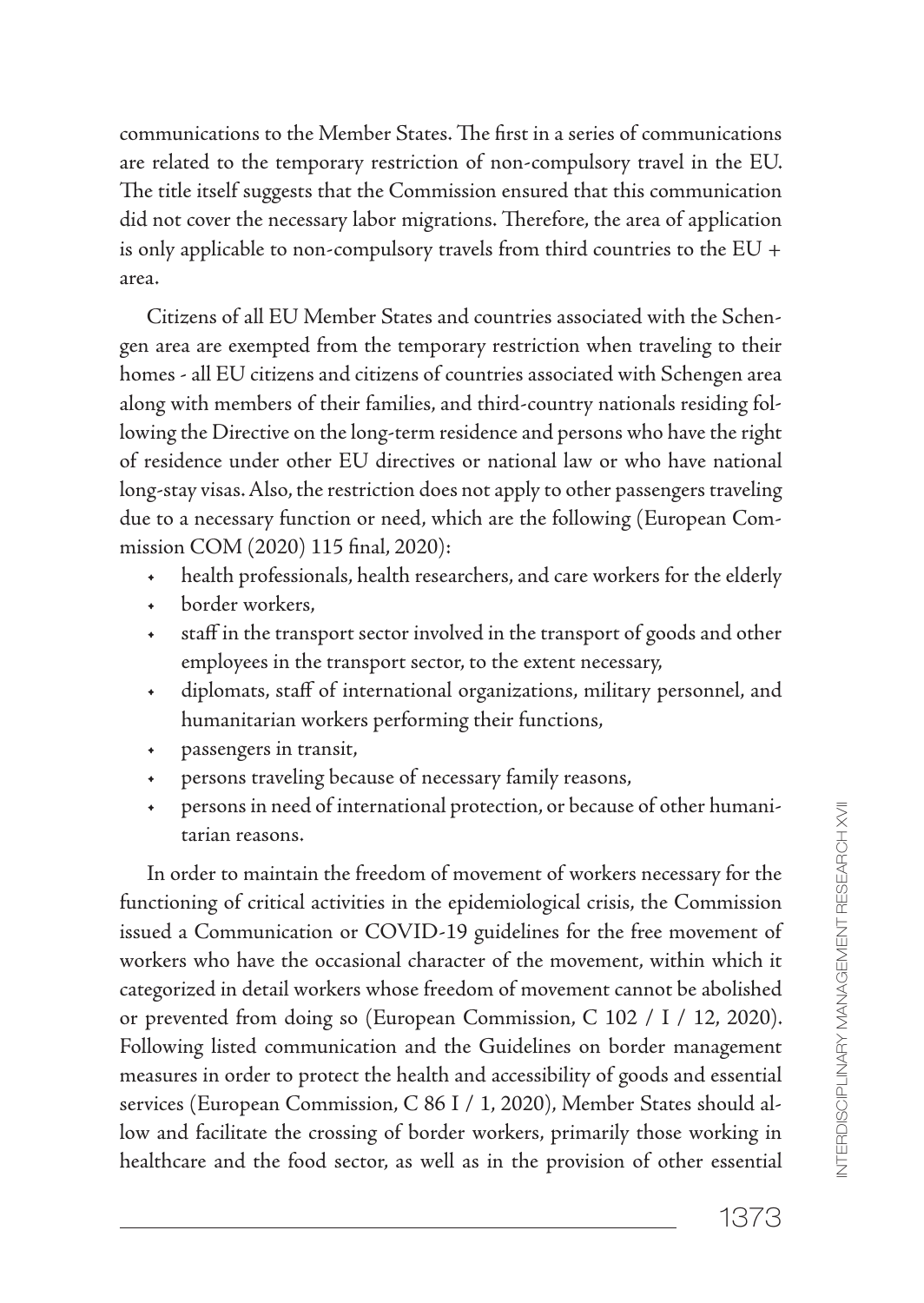communications to the Member States. The first in a series of communications are related to the temporary restriction of non-compulsory travel in the EU. The title itself suggests that the Commission ensured that this communication did not cover the necessary labor migrations. Therefore, the area of application is only applicable to non-compulsory travels from third countries to the EU + area.

Citizens of all EU Member States and countries associated with the Schengen area are exempted from the temporary restriction when traveling to their homes - all EU citizens and citizens of countries associated with Schengen area along with members of their families, and third-country nationals residing following the Directive on the long-term residence and persons who have the right of residence under other EU directives or national law or who have national long-stay visas. Also, the restriction does not apply to other passengers traveling due to a necessary function or need, which are the following (European Commission COM (2020) 115 final, 2020):

- health professionals, health researchers, and care workers for the elderly
- + border workers.
- the staff in the transport sector involved in the transport of goods and other employees in the transport sector, to the extent necessary,
- t diplomats, staff of international organizations, military personnel, and humanitarian workers performing their functions,
- passengers in transit,
- persons traveling because of necessary family reasons,
- persons in need of international protection, or because of other humanitarian reasons.

In order to maintain the freedom of movement of workers necessary for the functioning of critical activities in the epidemiological crisis, the Commission issued a Communication or COVID-19 guidelines for the free movement of workers who have the occasional character of the movement, within which it categorized in detail workers whose freedom of movement cannot be abolished or prevented from doing so (European Commission, C 102 / I / 12, 2020). Following listed communication and the Guidelines on border management measures in order to protect the health and accessibility of goods and essential services (European Commission, C 86 I / 1, 2020), Member States should allow and facilitate the crossing of border workers, primarily those working in healthcare and the food sector, as well as in the provision of other essential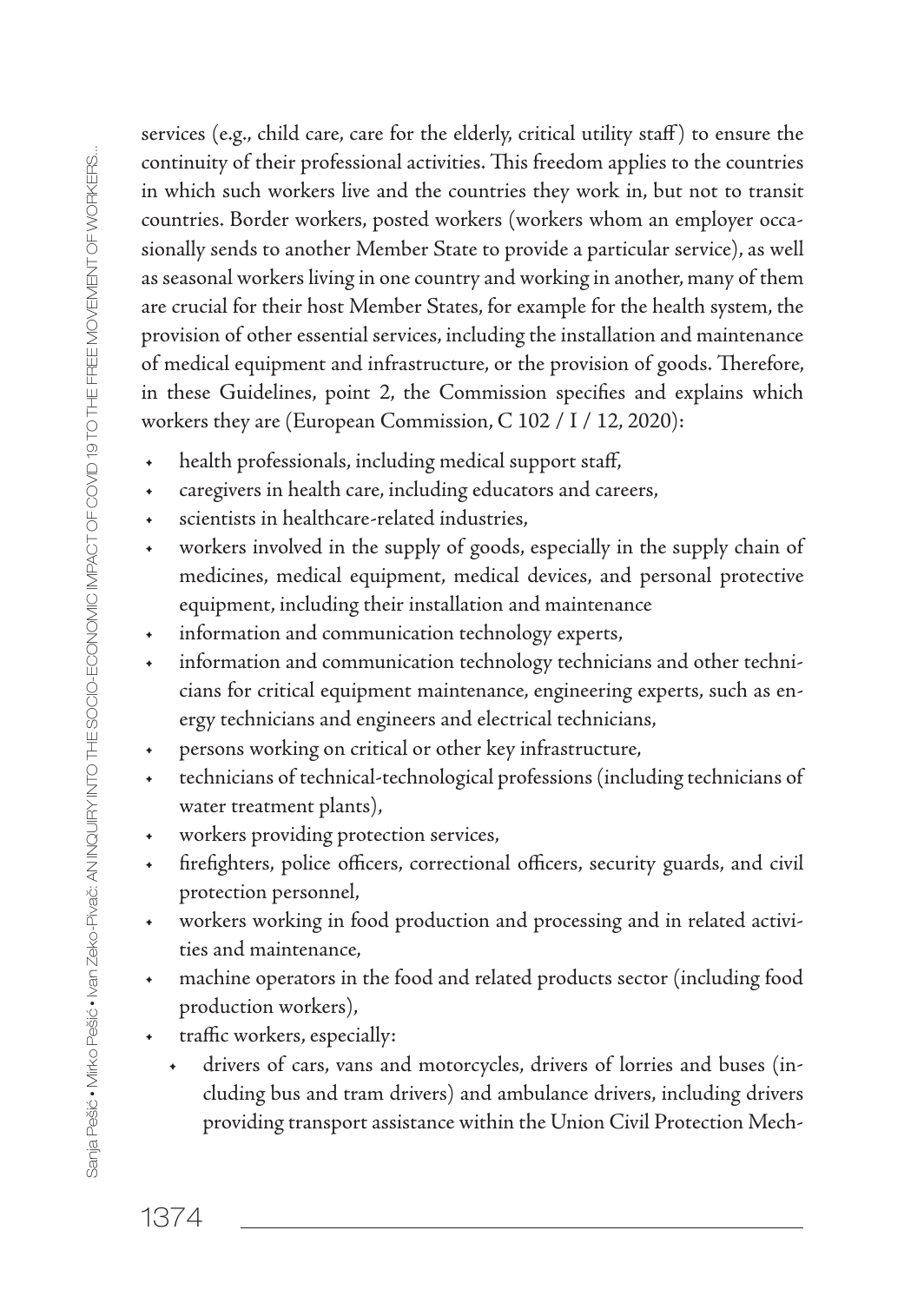Sanja Pešić Mirko Pešić Ivan Zeko-Pivač: AN INQUIRY INTO THE SOCIO-ECONOMIC IMPACT OF COVID 19 TO THE FREE MOVEMENT OF WORKERS... Sania Pešić • Mirko Pešić • Ivan Zeko-Pivać: AN INQUIRY INTO THE SOCIO-ECONIO IMPACT OF COVID 19 TO THE FREE MOVEMENT OF WORKERS.

services (e.g., child care, care for the elderly, critical utility staff) to ensure the continuity of their professional activities. This freedom applies to the countries in which such workers live and the countries they work in, but not to transit countries. Border workers, posted workers (workers whom an employer occasionally sends to another Member State to provide a particular service), as well as seasonal workers living in one country and working in another, many of them are crucial for their host Member States, for example for the health system, the provision of other essential services, including the installation and maintenance of medical equipment and infrastructure, or the provision of goods. Therefore, in these Guidelines, point 2, the Commission specifies and explains which workers they are (European Commission, C 102 / I / 12, 2020):

- + health professionals, including medical support staff,
- + caregivers in health care, including educators and careers,
- t scientists in healthcare-related industries,
- t workers involved in the supply of goods, especially in the supply chain of medicines, medical equipment, medical devices, and personal protective equipment, including their installation and maintenance
- $+$  information and communication technology experts,
- information and communication technology technicians and other technicians for critical equipment maintenance, engineering experts, such as energy technicians and engineers and electrical technicians,
- t persons working on critical or other key infrastructure,
- technicians of technical-technological professions (including technicians of water treatment plants),
- t workers providing protection services,
- t firefighters, police officers, correctional officers, security guards, and civil protection personnel,
- + workers working in food production and processing and in related activities and maintenance,
- + machine operators in the food and related products sector (including food production workers),
- t traffic workers, especially:
	- t drivers of cars, vans and motorcycles, drivers of lorries and buses (including bus and tram drivers) and ambulance drivers, including drivers providing transport assistance within the Union Civil Protection Mech-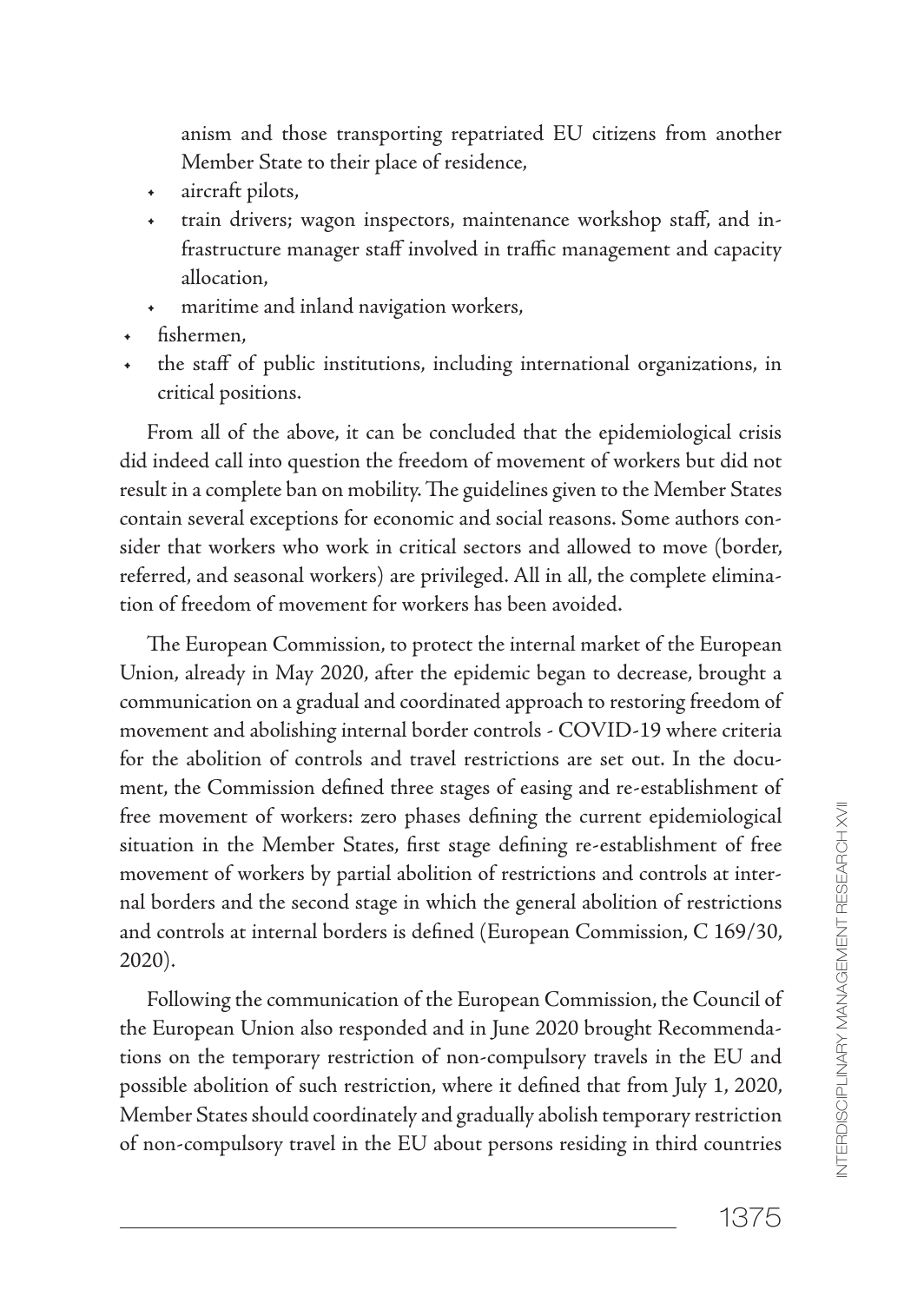anism and those transporting repatriated EU citizens from another Member State to their place of residence,

- + aircraft pilots,
- train drivers; wagon inspectors, maintenance workshop staff, and infrastructure manager staff involved in traffic management and capacity allocation,
- maritime and inland navigation workers,
- fishermen,
- the staff of public institutions, including international organizations, in critical positions.

From all of the above, it can be concluded that the epidemiological crisis did indeed call into question the freedom of movement of workers but did not result in a complete ban on mobility. The guidelines given to the Member States contain several exceptions for economic and social reasons. Some authors consider that workers who work in critical sectors and allowed to move (border, referred, and seasonal workers) are privileged. All in all, the complete elimination of freedom of movement for workers has been avoided.

The European Commission, to protect the internal market of the European Union, already in May 2020, after the epidemic began to decrease, brought a communication on a gradual and coordinated approach to restoring freedom of movement and abolishing internal border controls - COVID-19 where criteria for the abolition of controls and travel restrictions are set out. In the document, the Commission defined three stages of easing and re-establishment of free movement of workers: zero phases defining the current epidemiological situation in the Member States, first stage defining re-establishment of free movement of workers by partial abolition of restrictions and controls at internal borders and the second stage in which the general abolition of restrictions and controls at internal borders is defined (European Commission, C 169/30, 2020).

Following the communication of the European Commission, the Council of the European Union also responded and in June 2020 brought Recommendations on the temporary restriction of non-compulsory travels in the EU and possible abolition of such restriction, where it defined that from July 1, 2020, Member States should coordinately and gradually abolish temporary restriction of non-compulsory travel in the EU about persons residing in third countries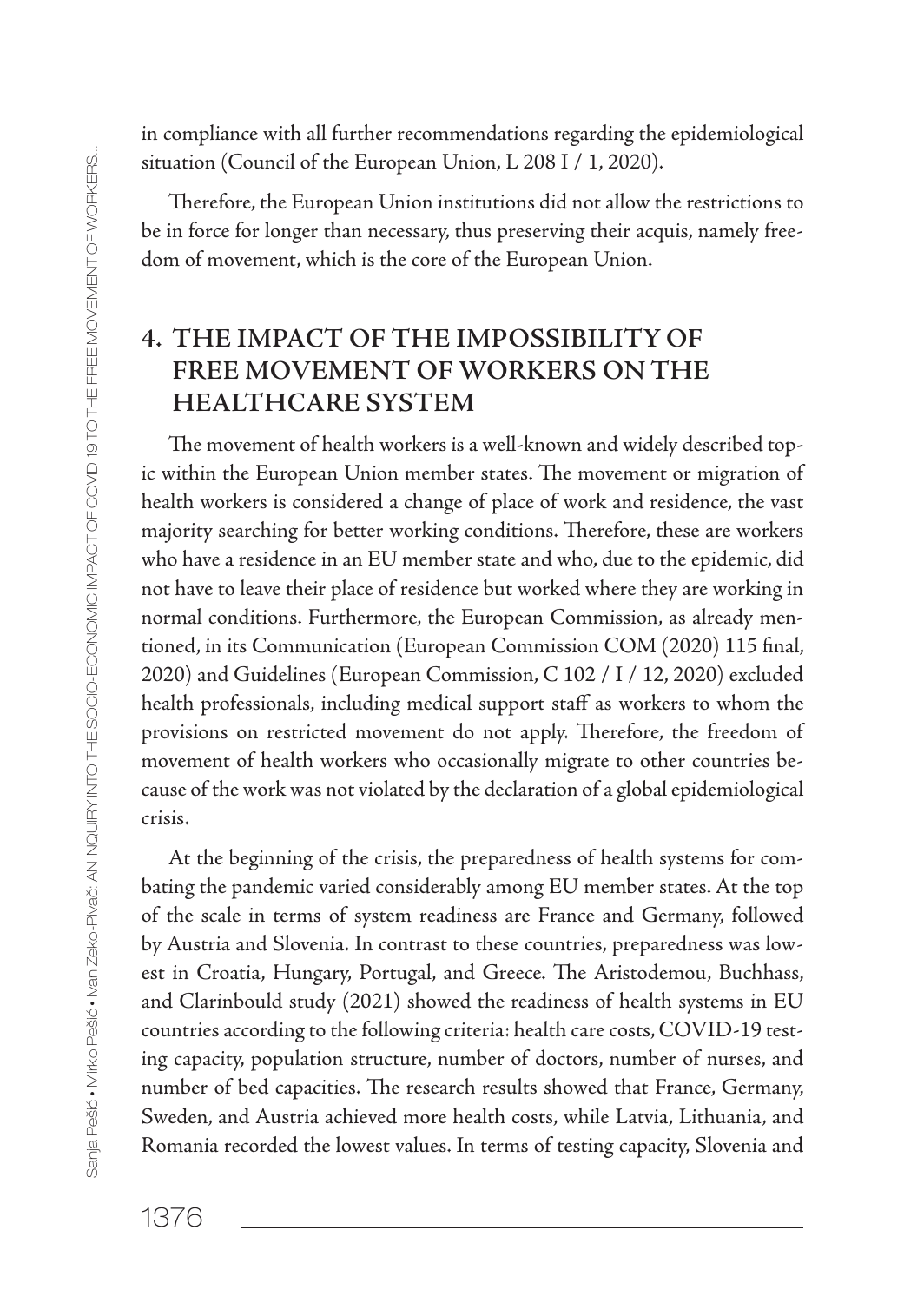in compliance with all further recommendations regarding the epidemiological situation (Council of the European Union, L 208 I / 1, 2020).

Therefore, the European Union institutions did not allow the restrictions to be in force for longer than necessary, thus preserving their acquis, namely freedom of movement, which is the core of the European Union.

### **4. THE IMPACT OF THE IMPOSSIBILITY OF FREE MOVEMENT OF WORKERS ON THE HEALTHCARE SYSTEM**

The movement of health workers is a well-known and widely described topic within the European Union member states. The movement or migration of health workers is considered a change of place of work and residence, the vast majority searching for better working conditions. Therefore, these are workers who have a residence in an EU member state and who, due to the epidemic, did not have to leave their place of residence but worked where they are working in normal conditions. Furthermore, the European Commission, as already mentioned, in its Communication (European Commission COM (2020) 115 final, 2020) and Guidelines (European Commission, C 102 / I / 12, 2020) excluded health professionals, including medical support staff as workers to whom the provisions on restricted movement do not apply. Therefore, the freedom of movement of health workers who occasionally migrate to other countries because of the work was not violated by the declaration of a global epidemiological crisis.

At the beginning of the crisis, the preparedness of health systems for combating the pandemic varied considerably among EU member states. At the top of the scale in terms of system readiness are France and Germany, followed by Austria and Slovenia. In contrast to these countries, preparedness was lowest in Croatia, Hungary, Portugal, and Greece. The Aristodemou, Buchhass, and Clarinbould study (2021) showed the readiness of health systems in EU countries according to the following criteria: health care costs, COVID-19 testing capacity, population structure, number of doctors, number of nurses, and number of bed capacities. The research results showed that France, Germany, Sweden, and Austria achieved more health costs, while Latvia, Lithuania, and Romania recorded the lowest values. In terms of testing capacity, Slovenia and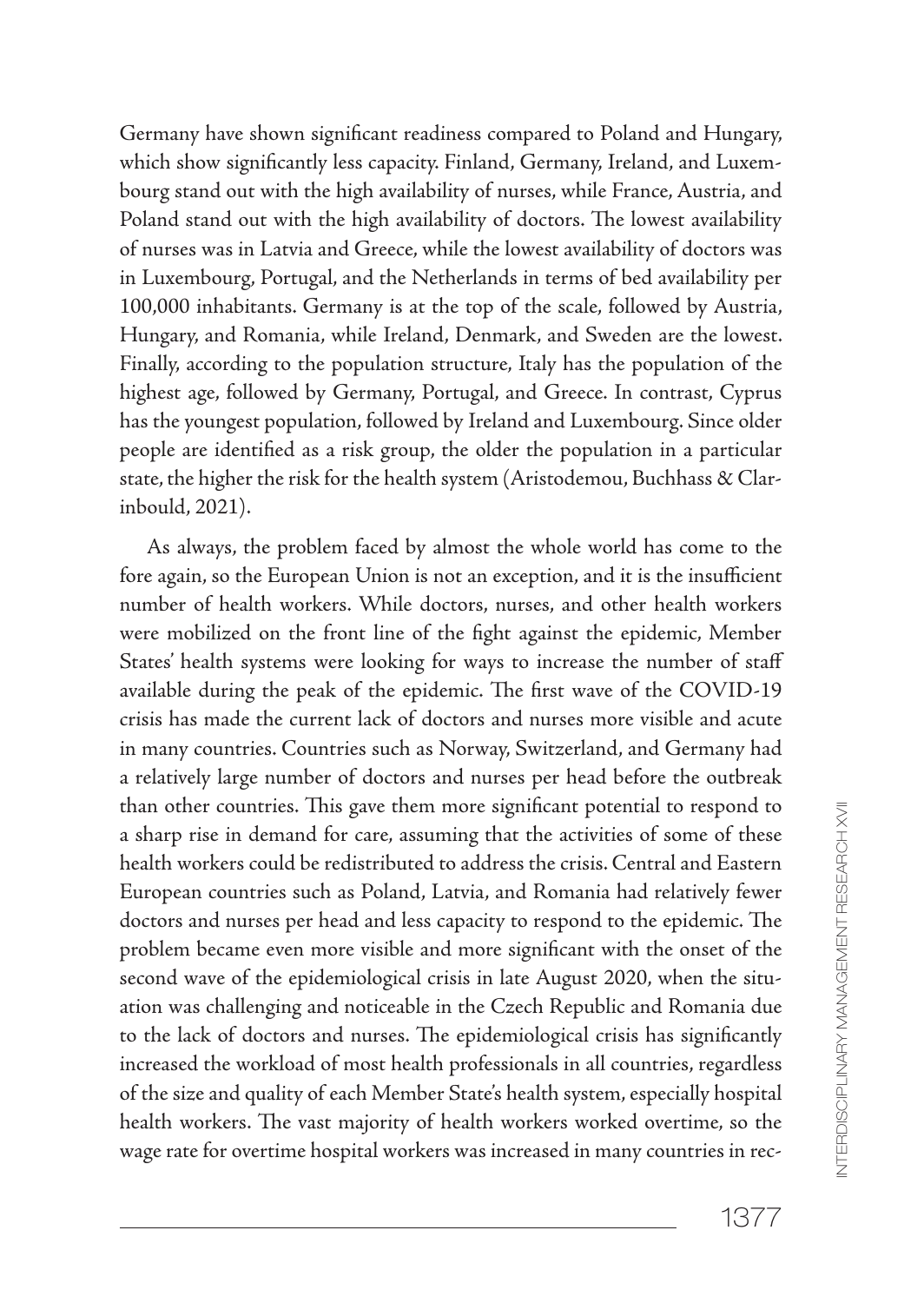Germany have shown significant readiness compared to Poland and Hungary, which show significantly less capacity. Finland, Germany, Ireland, and Luxembourg stand out with the high availability of nurses, while France, Austria, and Poland stand out with the high availability of doctors. The lowest availability of nurses was in Latvia and Greece, while the lowest availability of doctors was in Luxembourg, Portugal, and the Netherlands in terms of bed availability per 100,000 inhabitants. Germany is at the top of the scale, followed by Austria, Hungary, and Romania, while Ireland, Denmark, and Sweden are the lowest. Finally, according to the population structure, Italy has the population of the highest age, followed by Germany, Portugal, and Greece. In contrast, Cyprus has the youngest population, followed by Ireland and Luxembourg. Since older people are identified as a risk group, the older the population in a particular state, the higher the risk for the health system (Aristodemou, Buchhass & Clarinbould, 2021).

As always, the problem faced by almost the whole world has come to the fore again, so the European Union is not an exception, and it is the insufficient number of health workers. While doctors, nurses, and other health workers were mobilized on the front line of the fight against the epidemic, Member States' health systems were looking for ways to increase the number of staff available during the peak of the epidemic. The first wave of the COVID-19 crisis has made the current lack of doctors and nurses more visible and acute in many countries. Countries such as Norway, Switzerland, and Germany had a relatively large number of doctors and nurses per head before the outbreak than other countries. This gave them more significant potential to respond to a sharp rise in demand for care, assuming that the activities of some of these health workers could be redistributed to address the crisis. Central and Eastern European countries such as Poland, Latvia, and Romania had relatively fewer doctors and nurses per head and less capacity to respond to the epidemic. The problem became even more visible and more significant with the onset of the second wave of the epidemiological crisis in late August 2020, when the situation was challenging and noticeable in the Czech Republic and Romania due to the lack of doctors and nurses. The epidemiological crisis has significantly increased the workload of most health professionals in all countries, regardless of the size and quality of each Member State's health system, especially hospital health workers. The vast majority of health workers worked overtime, so the wage rate for overtime hospital workers was increased in many countries in rec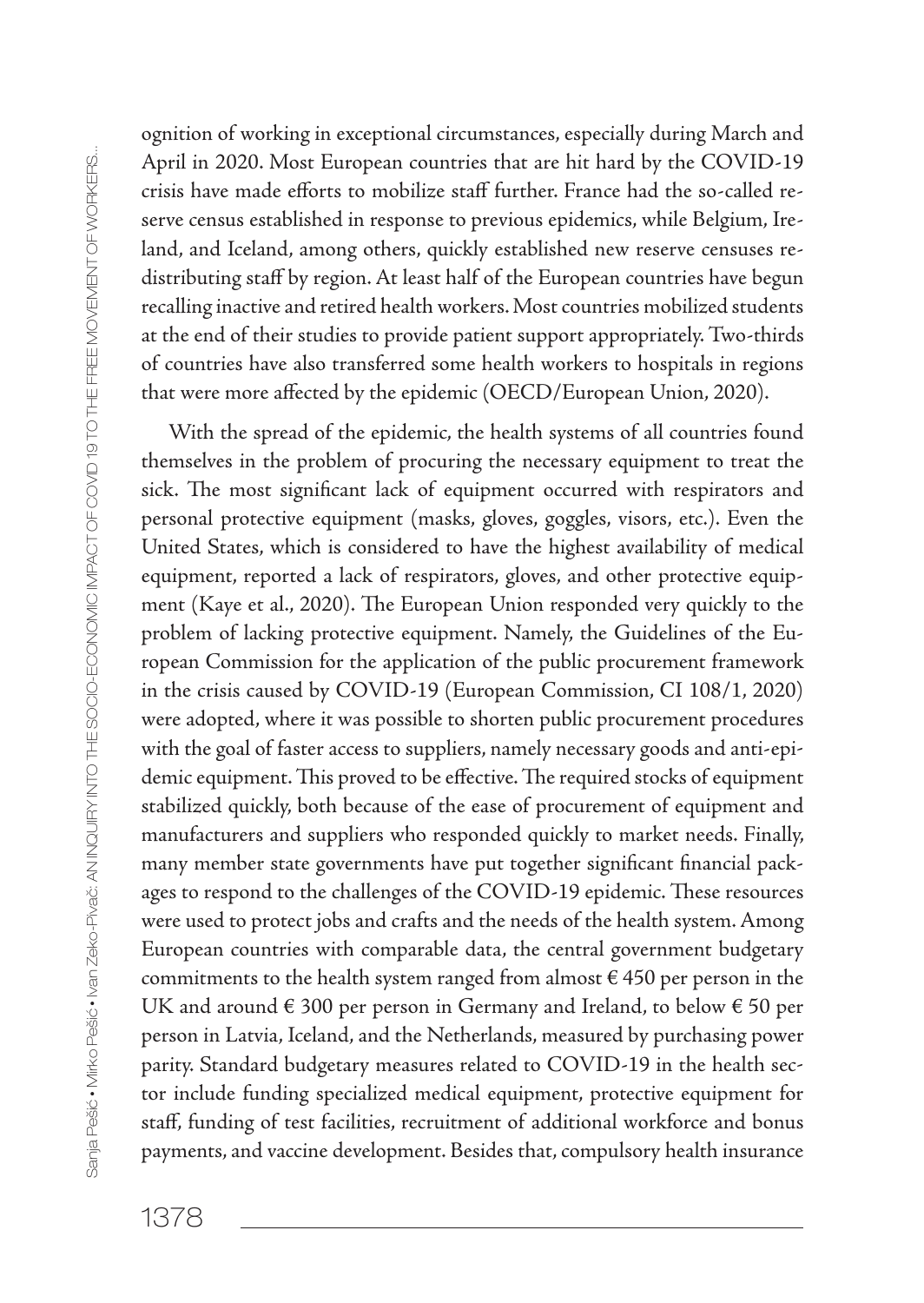ognition of working in exceptional circumstances, especially during March and April in 2020. Most European countries that are hit hard by the COVID-19 crisis have made efforts to mobilize staff further. France had the so-called reserve census established in response to previous epidemics, while Belgium, Ireland, and Iceland, among others, quickly established new reserve censuses redistributing staff by region. At least half of the European countries have begun recalling inactive and retired health workers. Most countries mobilized students at the end of their studies to provide patient support appropriately. Two-thirds of countries have also transferred some health workers to hospitals in regions that were more affected by the epidemic (OECD/European Union, 2020).

With the spread of the epidemic, the health systems of all countries found themselves in the problem of procuring the necessary equipment to treat the sick. The most significant lack of equipment occurred with respirators and personal protective equipment (masks, gloves, goggles, visors, etc.). Even the United States, which is considered to have the highest availability of medical equipment, reported a lack of respirators, gloves, and other protective equipment (Kaye et al., 2020). The European Union responded very quickly to the problem of lacking protective equipment. Namely, the Guidelines of the European Commission for the application of the public procurement framework in the crisis caused by COVID-19 (European Commission, CI 108/1, 2020) were adopted, where it was possible to shorten public procurement procedures with the goal of faster access to suppliers, namely necessary goods and anti-epidemic equipment. This proved to be effective. The required stocks of equipment stabilized quickly, both because of the ease of procurement of equipment and manufacturers and suppliers who responded quickly to market needs. Finally, many member state governments have put together significant financial packages to respond to the challenges of the COVID-19 epidemic. These resources were used to protect jobs and crafts and the needs of the health system. Among European countries with comparable data, the central government budgetary commitments to the health system ranged from almost  $\epsilon$  450 per person in the UK and around € 300 per person in Germany and Ireland, to below € 50 per person in Latvia, Iceland, and the Netherlands, measured by purchasing power parity. Standard budgetary measures related to COVID-19 in the health sector include funding specialized medical equipment, protective equipment for staff, funding of test facilities, recruitment of additional workforce and bonus payments, and vaccine development. Besides that, compulsory health insurance

1378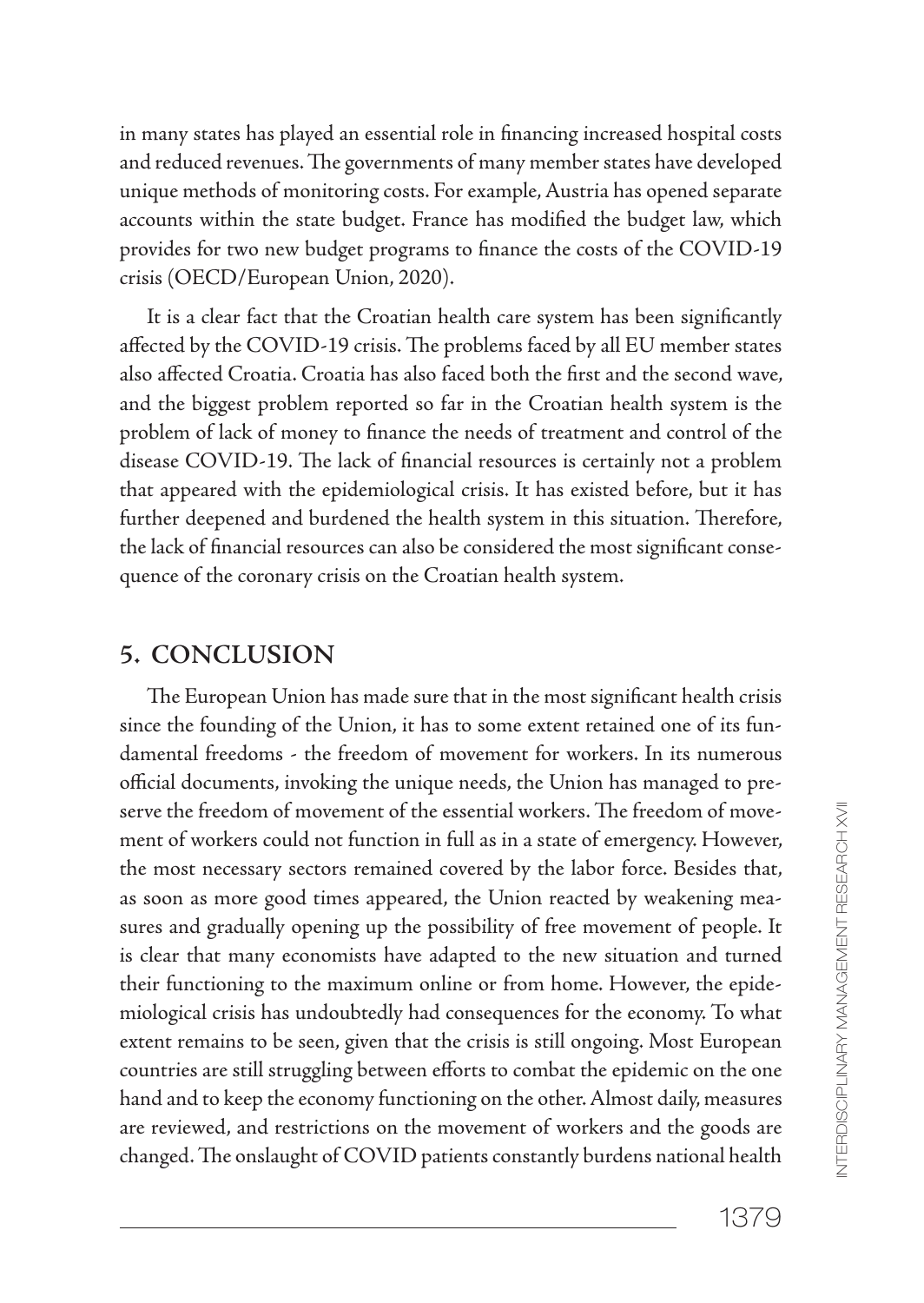in many states has played an essential role in financing increased hospital costs and reduced revenues. The governments of many member states have developed unique methods of monitoring costs. For example, Austria has opened separate accounts within the state budget. France has modified the budget law, which provides for two new budget programs to finance the costs of the COVID-19 crisis (OECD/European Union, 2020).

It is a clear fact that the Croatian health care system has been significantly affected by the COVID-19 crisis. The problems faced by all EU member states also affected Croatia. Croatia has also faced both the first and the second wave, and the biggest problem reported so far in the Croatian health system is the problem of lack of money to finance the needs of treatment and control of the disease COVID-19. The lack of financial resources is certainly not a problem that appeared with the epidemiological crisis. It has existed before, but it has further deepened and burdened the health system in this situation. Therefore, the lack of financial resources can also be considered the most significant consequence of the coronary crisis on the Croatian health system.

### **5. CONCLUSION**

The European Union has made sure that in the most significant health crisis since the founding of the Union, it has to some extent retained one of its fundamental freedoms - the freedom of movement for workers. In its numerous official documents, invoking the unique needs, the Union has managed to preserve the freedom of movement of the essential workers. The freedom of movement of workers could not function in full as in a state of emergency. However, the most necessary sectors remained covered by the labor force. Besides that, as soon as more good times appeared, the Union reacted by weakening measures and gradually opening up the possibility of free movement of people. It is clear that many economists have adapted to the new situation and turned their functioning to the maximum online or from home. However, the epidemiological crisis has undoubtedly had consequences for the economy. To what extent remains to be seen, given that the crisis is still ongoing. Most European countries are still struggling between efforts to combat the epidemic on the one hand and to keep the economy functioning on the other. Almost daily, measures are reviewed, and restrictions on the movement of workers and the goods are changed. The onslaught of COVID patients constantly burdens national health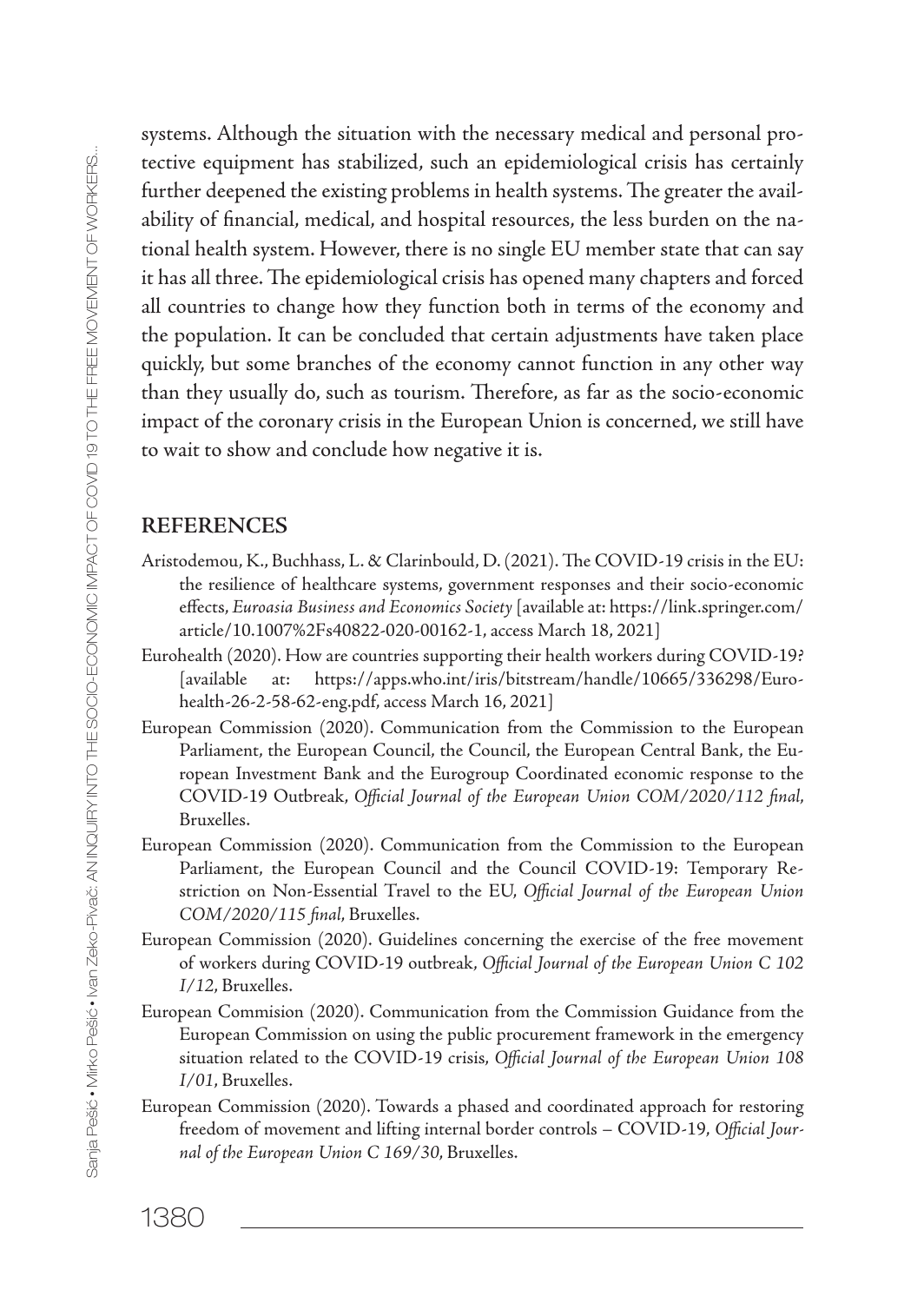systems. Although the situation with the necessary medical and personal protective equipment has stabilized, such an epidemiological crisis has certainly further deepened the existing problems in health systems. The greater the availability of financial, medical, and hospital resources, the less burden on the national health system. However, there is no single EU member state that can say it has all three. The epidemiological crisis has opened many chapters and forced all countries to change how they function both in terms of the economy and the population. It can be concluded that certain adjustments have taken place quickly, but some branches of the economy cannot function in any other way than they usually do, such as tourism. Therefore, as far as the socio-economic impact of the coronary crisis in the European Union is concerned, we still have to wait to show and conclude how negative it is.

#### **REFERENCES**

- Aristodemou, K., Buchhass, L. & Clarinbould, D. (2021). The COVID-19 crisis in the EU: the resilience of healthcare systems, government responses and their socio-economic effects, *Euroasia Business and Economics Society* [available at: https://link.springer.com/ article/10.1007%2Fs40822-020-00162-1, access March 18, 2021]
- Eurohealth (2020). How are countries supporting their health workers during COVID-19? [available at: https://apps.who.int/iris/bitstream/handle/10665/336298/Eurohealth-26-2-58-62-eng.pdf, access March 16, 2021]
- European Commission (2020). Communication from the Commission to the European Parliament, the European Council, the Council, the European Central Bank, the European Investment Bank and the Eurogroup Coordinated economic response to the COVID-19 Outbreak, *Official Journal of the European Union COM/2020/112 final*, Bruxelles.
- European Commission (2020). Communication from the Commission to the European Parliament, the European Council and the Council COVID-19: Temporary Restriction on Non-Essential Travel to the EU, *Official Journal of the European Union COM/2020/115 final*, Bruxelles.
- European Commission (2020). Guidelines concerning the exercise of the free movement of workers during COVID-19 outbreak, *Official Journal of the European Union C 102 I/12*, Bruxelles.
- European Commision (2020). Communication from the Commission Guidance from the European Commission on using the public procurement framework in the emergency situation related to the COVID-19 crisis, *Official Journal of the European Union 108 I/01*, Bruxelles.
- European Commission (2020). Towards a phased and coordinated approach for restoring freedom of movement and lifting internal border controls – COVID-19, *Official Journal of the European Union C 169/30*, Bruxelles.

1380